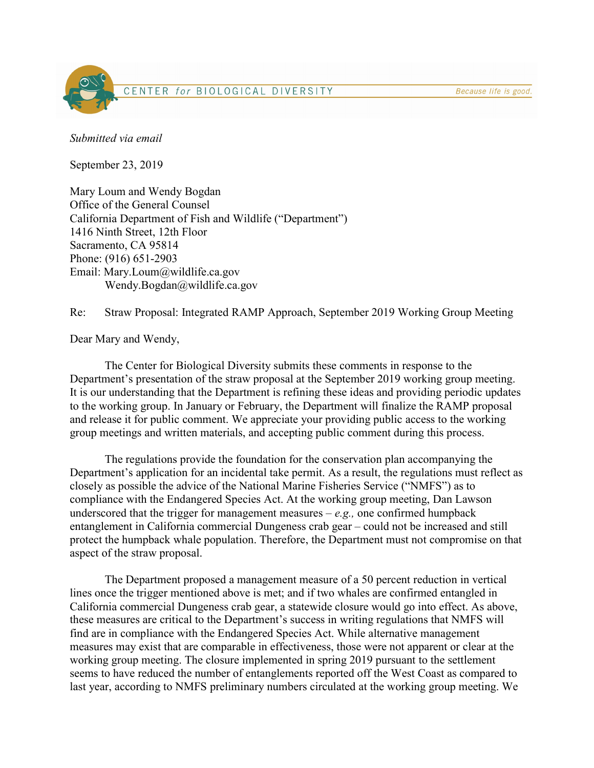Because life is good.

## CENTER for BIOLOGICAL DIVERSITY

Submitted via email

September 23, 2019

Mary Loum and Wendy Bogdan Office of the General Counsel California Department of Fish and Wildlife ("Department") 1416 Ninth Street, 12th Floor Sacramento, CA 95814 Phone: (916) 651-2903 Email: Mary.Loum@wildlife.ca.gov Wendy.Bogdan@wildlife.ca.gov

Re: Straw Proposal: Integrated RAMP Approach, September 2019 Working Group Meeting

Dear Mary and Wendy,

The Center for Biological Diversity submits these comments in response to the Department's presentation of the straw proposal at the September 2019 working group meeting. It is our understanding that the Department is refining these ideas and providing periodic updates to the working group. In January or February, the Department will finalize the RAMP proposal and release it for public comment. We appreciate your providing public access to the working group meetings and written materials, and accepting public comment during this process.

 The regulations provide the foundation for the conservation plan accompanying the Department's application for an incidental take permit. As a result, the regulations must reflect as closely as possible the advice of the National Marine Fisheries Service ("NMFS") as to compliance with the Endangered Species Act. At the working group meeting, Dan Lawson underscored that the trigger for management measures  $-e.g.,$  one confirmed humpback entanglement in California commercial Dungeness crab gear – could not be increased and still protect the humpback whale population. Therefore, the Department must not compromise on that aspect of the straw proposal.

 The Department proposed a management measure of a 50 percent reduction in vertical lines once the trigger mentioned above is met; and if two whales are confirmed entangled in California commercial Dungeness crab gear, a statewide closure would go into effect. As above, these measures are critical to the Department's success in writing regulations that NMFS will find are in compliance with the Endangered Species Act. While alternative management measures may exist that are comparable in effectiveness, those were not apparent or clear at the working group meeting. The closure implemented in spring 2019 pursuant to the settlement seems to have reduced the number of entanglements reported off the West Coast as compared to last year, according to NMFS preliminary numbers circulated at the working group meeting. We